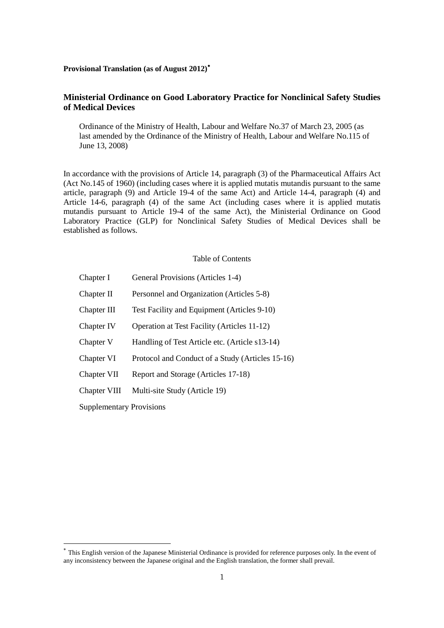## **Provisional Translation (as of August 2012)**[∗](#page-0-0)

# **Ministerial Ordinance on Good Laboratory Practice for Nonclinical Safety Studies of Medical Devices**

Ordinance of the Ministry of Health, Labour and Welfare No.37 of March 23, 2005 (as last amended by the Ordinance of the Ministry of Health, Labour and Welfare No.115 of June 13, 2008)

In accordance with the provisions of Article 14, paragraph (3) of the Pharmaceutical Affairs Act (Act No.145 of 1960) (including cases where it is applied mutatis mutandis pursuant to the same article, paragraph (9) and Article 19-4 of the same Act) and Article 14-4, paragraph (4) and Article 14-6, paragraph (4) of the same Act (including cases where it is applied mutatis mutandis pursuant to Article 19-4 of the same Act), the Ministerial Ordinance on Good Laboratory Practice (GLP) for Nonclinical Safety Studies of Medical Devices shall be established as follows.

### Table of Contents

| Chapter I                       | General Provisions (Articles 1-4)                  |
|---------------------------------|----------------------------------------------------|
| Chapter II                      | Personnel and Organization (Articles 5-8)          |
| Chapter III                     | Test Facility and Equipment (Articles 9-10)        |
| Chapter IV                      | <b>Operation at Test Facility (Articles 11-12)</b> |
| Chapter V                       | Handling of Test Article etc. (Article s13-14)     |
| Chapter VI                      | Protocol and Conduct of a Study (Articles 15-16)   |
| Chapter VII                     | Report and Storage (Articles 17-18)                |
| Chapter VIII                    | Multi-site Study (Article 19)                      |
| <b>Supplementary Provisions</b> |                                                    |

1

<span id="page-0-0"></span>This English version of the Japanese Ministerial Ordinance is provided for reference purposes only. In the event of any inconsistency between the Japanese original and the English translation, the former shall prevail.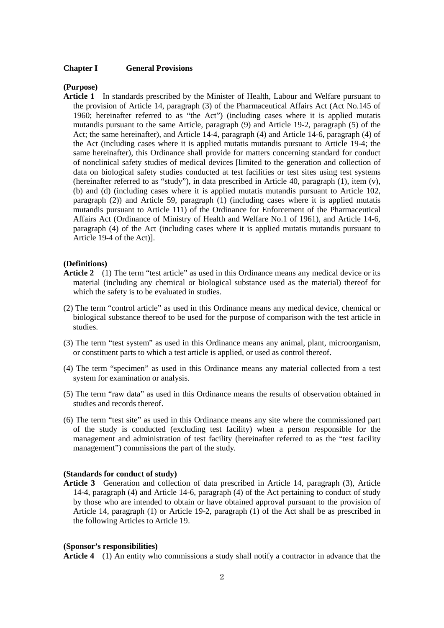#### **Chapter I General Provisions**

#### **(Purpose)**

**Article 1** In standards prescribed by the Minister of Health, Labour and Welfare pursuant to the provision of Article 14, paragraph (3) of the Pharmaceutical Affairs Act (Act No.145 of 1960; hereinafter referred to as "the Act") (including cases where it is applied mutatis mutandis pursuant to the same Article, paragraph (9) and Article 19-2, paragraph (5) of the Act; the same hereinafter), and Article 14-4, paragraph (4) and Article 14-6, paragraph (4) of the Act (including cases where it is applied mutatis mutandis pursuant to Article 19-4; the same hereinafter), this Ordinance shall provide for matters concerning standard for conduct of nonclinical safety studies of medical devices [limited to the generation and collection of data on biological safety studies conducted at test facilities or test sites using test systems (hereinafter referred to as "study"), in data prescribed in Article 40, paragraph (1), item (v), (b) and (d) (including cases where it is applied mutatis mutandis pursuant to Article 102, paragraph (2)) and Article 59, paragraph (1) (including cases where it is applied mutatis mutandis pursuant to Article 111) of the Ordinance for Enforcement of the Pharmaceutical Affairs Act (Ordinance of Ministry of Health and Welfare No.1 of 1961), and Article 14-6, paragraph (4) of the Act (including cases where it is applied mutatis mutandis pursuant to Article 19-4 of the Act)].

### **(Definitions)**

- Article 2 (1) The term "test article" as used in this Ordinance means any medical device or its material (including any chemical or biological substance used as the material) thereof for which the safety is to be evaluated in studies.
- (2) The term "control article" as used in this Ordinance means any medical device, chemical or biological substance thereof to be used for the purpose of comparison with the test article in studies.
- (3) The term "test system" as used in this Ordinance means any animal, plant, microorganism, or constituent parts to which a test article is applied, or used as control thereof.
- (4) The term "specimen" as used in this Ordinance means any material collected from a test system for examination or analysis.
- (5) The term "raw data" as used in this Ordinance means the results of observation obtained in studies and records thereof.
- (6) The term "test site" as used in this Ordinance means any site where the commissioned part of the study is conducted (excluding test facility) when a person responsible for the management and administration of test facility (hereinafter referred to as the "test facility management") commissions the part of the study.

#### **(Standards for conduct of study)**

**Article 3** Generation and collection of data prescribed in Article 14, paragraph (3), Article 14-4, paragraph (4) and Article 14-6, paragraph (4) of the Act pertaining to conduct of study by those who are intended to obtain or have obtained approval pursuant to the provision of Article 14, paragraph (1) or Article 19-2, paragraph (1) of the Act shall be as prescribed in the following Articles to Article 19.

#### **(Sponsor's responsibilities)**

**Article 4** (1) An entity who commissions a study shall notify a contractor in advance that the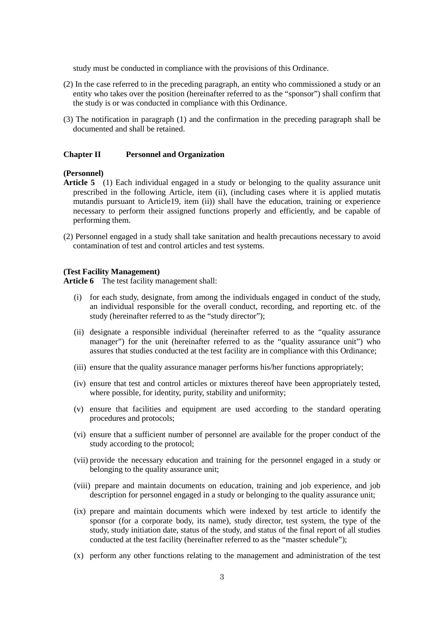study must be conducted in compliance with the provisions of this Ordinance.

- (2) In the case referred to in the preceding paragraph, an entity who commissioned a study or an entity who takes over the position (hereinafter referred to as the "sponsor") shall confirm that the study is or was conducted in compliance with this Ordinance.
- (3) The notification in paragraph (1) and the confirmation in the preceding paragraph shall be documented and shall be retained.

#### **Chapter II Personnel and Organization**

### **(Personnel)**

- **Article 5** (1) Each individual engaged in a study or belonging to the quality assurance unit prescribed in the following Article, item (ii), (including cases where it is applied mutatis mutandis pursuant to Article19, item (ii)) shall have the education, training or experience necessary to perform their assigned functions properly and efficiently, and be capable of performing them.
- (2) Personnel engaged in a study shall take sanitation and health precautions necessary to avoid contamination of test and control articles and test systems.

#### **(Test Facility Management)**

**Article 6** The test facility management shall:

- (i) for each study, designate, from among the individuals engaged in conduct of the study, an individual responsible for the overall conduct, recording, and reporting etc. of the study (hereinafter referred to as the "study director");
- (ii) designate a responsible individual (hereinafter referred to as the "quality assurance manager") for the unit (hereinafter referred to as the "quality assurance unit") who assures that studies conducted at the test facility are in compliance with this Ordinance;
- (iii) ensure that the quality assurance manager performs his/her functions appropriately;
- (iv) ensure that test and control articles or mixtures thereof have been appropriately tested, where possible, for identity, purity, stability and uniformity;
- (v) ensure that facilities and equipment are used according to the standard operating procedures and protocols;
- (vi) ensure that a sufficient number of personnel are available for the proper conduct of the study according to the protocol;
- (vii) provide the necessary education and training for the personnel engaged in a study or belonging to the quality assurance unit:
- (viii) prepare and maintain documents on education, training and job experience, and job description for personnel engaged in a study or belonging to the quality assurance unit;
- (ix) prepare and maintain documents which were indexed by test article to identify the sponsor (for a corporate body, its name), study director, test system, the type of the study, study initiation date, status of the study, and status of the final report of all studies conducted at the test facility (hereinafter referred to as the "master schedule");
- (x) perform any other functions relating to the management and administration of the test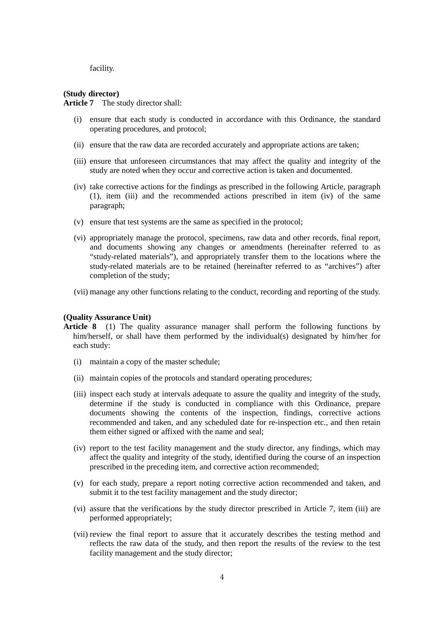facility.

#### **(Study director)**

**Article 7** The study director shall:

- (i) ensure that each study is conducted in accordance with this Ordinance, the standard operating procedures, and protocol;
- (ii) ensure that the raw data are recorded accurately and appropriate actions are taken;
- (iii) ensure that unforeseen circumstances that may affect the quality and integrity of the study are noted when they occur and corrective action is taken and documented.
- (iv) take corrective actions for the findings as prescribed in the following Article, paragraph (1), item (iii) and the recommended actions prescribed in item (iv) of the same paragraph;
- (v) ensure that test systems are the same as specified in the protocol;
- (vi) appropriately manage the protocol, specimens, raw data and other records, final report, and documents showing any changes or amendments (hereinafter referred to as "study-related materials"), and appropriately transfer them to the locations where the study-related materials are to be retained (hereinafter referred to as "archives") after completion of the study;
- (vii) manage any other functions relating to the conduct, recording and reporting of the study.

## **(Quality Assurance Unit)**

- **Article 8** (1) The quality assurance manager shall perform the following functions by him/herself, or shall have them performed by the individual(s) designated by him/her for each study:
	- (i) maintain a copy of the master schedule;
	- (ii) maintain copies of the protocols and standard operating procedures;
	- (iii) inspect each study at intervals adequate to assure the quality and integrity of the study, determine if the study is conducted in compliance with this Ordinance, prepare documents showing the contents of the inspection, findings, corrective actions recommended and taken, and any scheduled date for re-inspection etc., and then retain them either signed or affixed with the name and seal;
	- (iv) report to the test facility management and the study director, any findings, which may affect the quality and integrity of the study, identified during the course of an inspection prescribed in the preceding item, and corrective action recommended;
	- (v) for each study, prepare a report noting corrective action recommended and taken, and submit it to the test facility management and the study director;
	- (vi) assure that the verifications by the study director prescribed in Article 7, item (iii) are performed appropriately;
	- (vii) review the final report to assure that it accurately describes the testing method and reflects the raw data of the study, and then report the results of the review to the test facility management and the study director;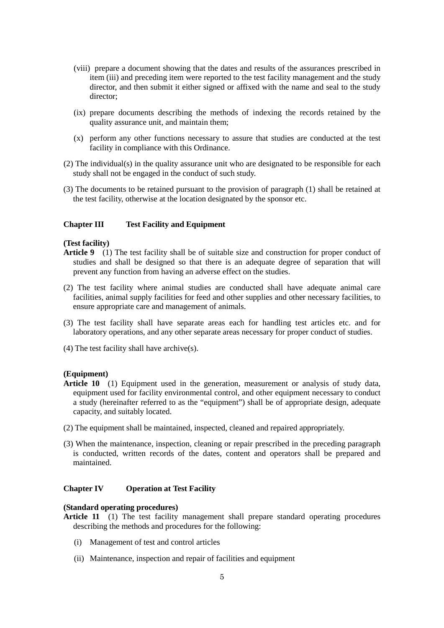- (viii) prepare a document showing that the dates and results of the assurances prescribed in item (iii) and preceding item were reported to the test facility management and the study director, and then submit it either signed or affixed with the name and seal to the study director;
- (ix) prepare documents describing the methods of indexing the records retained by the quality assurance unit, and maintain them;
- (x) perform any other functions necessary to assure that studies are conducted at the test facility in compliance with this Ordinance.
- (2) The individual(s) in the quality assurance unit who are designated to be responsible for each study shall not be engaged in the conduct of such study.
- (3) The documents to be retained pursuant to the provision of paragraph (1) shall be retained at the test facility, otherwise at the location designated by the sponsor etc.

## **Chapter III Test Facility and Equipment**

## **(Test facility)**

- **Article 9** (1) The test facility shall be of suitable size and construction for proper conduct of studies and shall be designed so that there is an adequate degree of separation that will prevent any function from having an adverse effect on the studies.
- (2) The test facility where animal studies are conducted shall have adequate animal care facilities, animal supply facilities for feed and other supplies and other necessary facilities, to ensure appropriate care and management of animals.
- (3) The test facility shall have separate areas each for handling test articles etc. and for laboratory operations, and any other separate areas necessary for proper conduct of studies.
- (4) The test facility shall have archive(s).

#### **(Equipment)**

- **Article 10** (1) Equipment used in the generation, measurement or analysis of study data, equipment used for facility environmental control, and other equipment necessary to conduct a study (hereinafter referred to as the "equipment") shall be of appropriate design, adequate capacity, and suitably located.
- (2) The equipment shall be maintained, inspected, cleaned and repaired appropriately.
- (3) When the maintenance, inspection, cleaning or repair prescribed in the preceding paragraph is conducted, written records of the dates, content and operators shall be prepared and maintained.

## **Chapter IV Operation at Test Facility**

## **(Standard operating procedures)**

- **Article 11** (1) The test facility management shall prepare standard operating procedures describing the methods and procedures for the following:
	- (i) Management of test and control articles
	- (ii) Maintenance, inspection and repair of facilities and equipment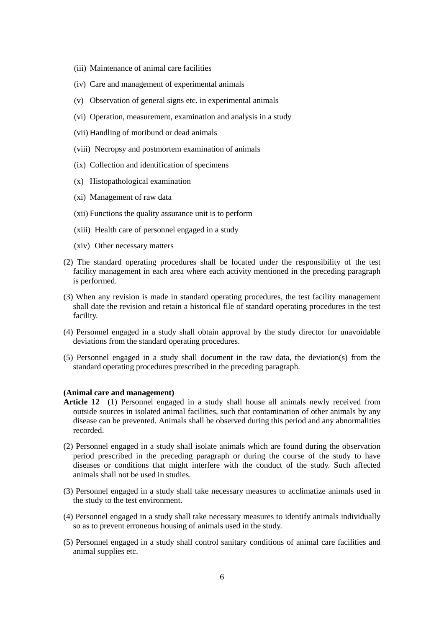- (iii) Maintenance of animal care facilities
- (iv) Care and management of experimental animals
- (v) Observation of general signs etc. in experimental animals
- (vi) Operation, measurement, examination and analysis in a study
- (vii) Handling of moribund or dead animals
- (viii) Necropsy and postmortem examination of animals
- (ix) Collection and identification of specimens
- (x) Histopathological examination
- (xi) Management of raw data
- (xii) Functions the quality assurance unit is to perform
- (xiii) Health care of personnel engaged in a study
- (xiv) Other necessary matters
- (2) The standard operating procedures shall be located under the responsibility of the test facility management in each area where each activity mentioned in the preceding paragraph is performed.
- (3) When any revision is made in standard operating procedures, the test facility management shall date the revision and retain a historical file of standard operating procedures in the test facility.
- (4) Personnel engaged in a study shall obtain approval by the study director for unavoidable deviations from the standard operating procedures.
- (5) Personnel engaged in a study shall document in the raw data, the deviation(s) from the standard operating procedures prescribed in the preceding paragraph.

## **(Animal care and management)**

- **Article 12** (1) Personnel engaged in a study shall house all animals newly received from outside sources in isolated animal facilities, such that contamination of other animals by any disease can be prevented. Animals shall be observed during this period and any abnormalities recorded.
- (2) Personnel engaged in a study shall isolate animals which are found during the observation period prescribed in the preceding paragraph or during the course of the study to have diseases or conditions that might interfere with the conduct of the study. Such affected animals shall not be used in studies.
- (3) Personnel engaged in a study shall take necessary measures to acclimatize animals used in the study to the test environment.
- (4) Personnel engaged in a study shall take necessary measures to identify animals individually so as to prevent erroneous housing of animals used in the study.
- (5) Personnel engaged in a study shall control sanitary conditions of animal care facilities and animal supplies etc.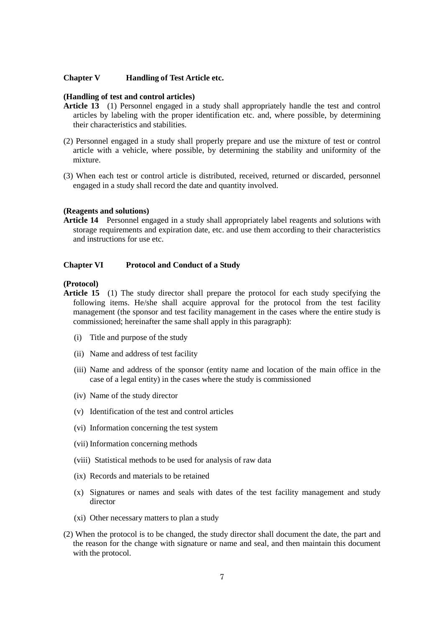## **Chapter V Handling of Test Article etc.**

## **(Handling of test and control articles)**

- **Article 13** (1) Personnel engaged in a study shall appropriately handle the test and control articles by labeling with the proper identification etc. and, where possible, by determining their characteristics and stabilities.
- (2) Personnel engaged in a study shall properly prepare and use the mixture of test or control article with a vehicle, where possible, by determining the stability and uniformity of the mixture.
- (3) When each test or control article is distributed, received, returned or discarded, personnel engaged in a study shall record the date and quantity involved.

#### **(Reagents and solutions)**

**Article 14** Personnel engaged in a study shall appropriately label reagents and solutions with storage requirements and expiration date, etc. and use them according to their characteristics and instructions for use etc.

#### **Chapter VI Protocol and Conduct of a Study**

## **(Protocol)**

- **Article 15** (1) The study director shall prepare the protocol for each study specifying the following items. He/she shall acquire approval for the protocol from the test facility management (the sponsor and test facility management in the cases where the entire study is commissioned; hereinafter the same shall apply in this paragraph):
	- (i) Title and purpose of the study
	- (ii) Name and address of test facility
	- (iii) Name and address of the sponsor (entity name and location of the main office in the case of a legal entity) in the cases where the study is commissioned
	- (iv) Name of the study director
	- (v) Identification of the test and control articles
	- (vi) Information concerning the test system
	- (vii) Information concerning methods
	- (viii) Statistical methods to be used for analysis of raw data
	- (ix) Records and materials to be retained
	- (x) Signatures or names and seals with dates of the test facility management and study director
	- (xi) Other necessary matters to plan a study
- (2) When the protocol is to be changed, the study director shall document the date, the part and the reason for the change with signature or name and seal, and then maintain this document with the protocol.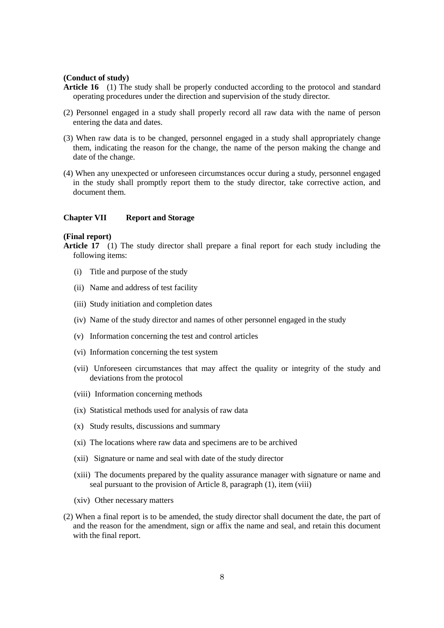#### **(Conduct of study)**

- **Article 16** (1) The study shall be properly conducted according to the protocol and standard operating procedures under the direction and supervision of the study director.
- (2) Personnel engaged in a study shall properly record all raw data with the name of person entering the data and dates.
- (3) When raw data is to be changed, personnel engaged in a study shall appropriately change them, indicating the reason for the change, the name of the person making the change and date of the change.
- (4) When any unexpected or unforeseen circumstances occur during a study, personnel engaged in the study shall promptly report them to the study director, take corrective action, and document them.

## **Chapter VII Report and Storage**

## **(Final report)**

- (i) Title and purpose of the study
- (ii) Name and address of test facility
- (iii) Study initiation and completion dates
- (iv) Name of the study director and names of other personnel engaged in the study
- (v) Information concerning the test and control articles
- (vi) Information concerning the test system
- (vii) Unforeseen circumstances that may affect the quality or integrity of the study and deviations from the protocol
- (viii) Information concerning methods
- (ix) Statistical methods used for analysis of raw data
- (x) Study results, discussions and summary
- (xi) The locations where raw data and specimens are to be archived
- (xii) Signature or name and seal with date of the study director
- (xiii) The documents prepared by the quality assurance manager with signature or name and seal pursuant to the provision of Article 8, paragraph (1), item (viii)
- (xiv) Other necessary matters
- (2) When a final report is to be amended, the study director shall document the date, the part of and the reason for the amendment, sign or affix the name and seal, and retain this document with the final report.

**Article 17** (1) The study director shall prepare a final report for each study including the following items: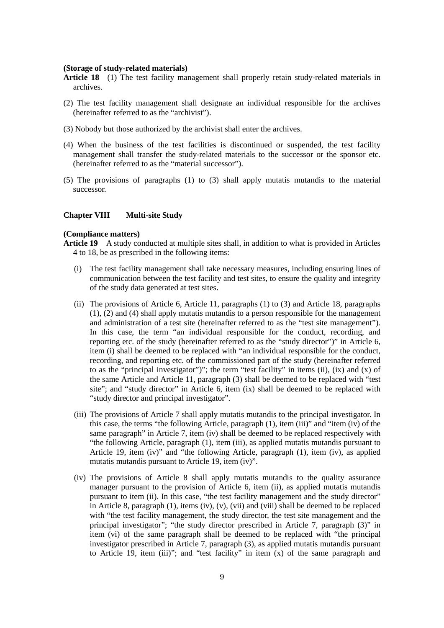### **(Storage of study-related materials)**

- **Article 18** (1) The test facility management shall properly retain study-related materials in archives.
- (2) The test facility management shall designate an individual responsible for the archives (hereinafter referred to as the "archivist").
- (3) Nobody but those authorized by the archivist shall enter the archives.
- (4) When the business of the test facilities is discontinued or suspended, the test facility management shall transfer the study-related materials to the successor or the sponsor etc. (hereinafter referred to as the "material successor").
- (5) The provisions of paragraphs (1) to (3) shall apply mutatis mutandis to the material successor.

#### **Chapter VIII Multi-site Study**

### **(Compliance matters)**

**Article 19** A study conducted at multiple sites shall, in addition to what is provided in Articles 4 to 18, be as prescribed in the following items:

- (i) The test facility management shall take necessary measures, including ensuring lines of communication between the test facility and test sites, to ensure the quality and integrity of the study data generated at test sites.
- (ii) The provisions of Article 6, Article 11, paragraphs (1) to (3) and Article 18, paragraphs (1), (2) and (4) shall apply mutatis mutandis to a person responsible for the management and administration of a test site (hereinafter referred to as the "test site management"). In this case, the term "an individual responsible for the conduct, recording, and reporting etc. of the study (hereinafter referred to as the "study director")" in Article 6, item (i) shall be deemed to be replaced with "an individual responsible for the conduct, recording, and reporting etc. of the commissioned part of the study (hereinafter referred to as the "principal investigator")"; the term "test facility" in items (ii), (ix) and (x) of the same Article and Article 11, paragraph (3) shall be deemed to be replaced with "test site"; and "study director" in Article 6, item (ix) shall be deemed to be replaced with "study director and principal investigator".
- (iii) The provisions of Article 7 shall apply mutatis mutandis to the principal investigator. In this case, the terms "the following Article, paragraph (1), item (iii)" and "item (iv) of the same paragraph" in Article 7, item (iv) shall be deemed to be replaced respectively with "the following Article, paragraph (1), item (iii), as applied mutatis mutandis pursuant to Article 19, item (iv)" and "the following Article, paragraph (1), item (iv), as applied mutatis mutandis pursuant to Article 19, item (iv)".
- (iv) The provisions of Article 8 shall apply mutatis mutandis to the quality assurance manager pursuant to the provision of Article 6, item (ii), as applied mutatis mutandis pursuant to item (ii). In this case, "the test facility management and the study director" in Article 8, paragraph (1), items (iv), (v), (vii) and (viii) shall be deemed to be replaced with "the test facility management, the study director, the test site management and the principal investigator"; "the study director prescribed in Article 7, paragraph (3)" in item (vi) of the same paragraph shall be deemed to be replaced with "the principal investigator prescribed in Article 7, paragraph (3), as applied mutatis mutandis pursuant to Article 19, item (iii)"; and "test facility" in item (x) of the same paragraph and